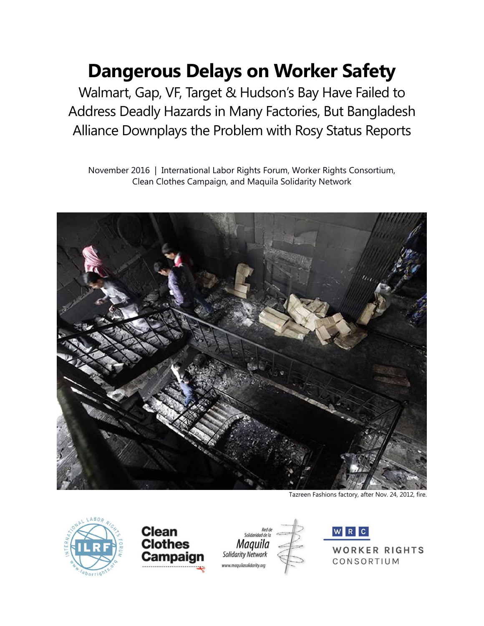# **Dangerous Delays on Worker Safety**

Walmart, Gap, VF, Target & Hudson's Bay Have Failed to Address Deadly Hazards in Many Factories, But Bangladesh Alliance Downplays the Problem with Rosy Status Reports

November 2016 | International Labor Rights Forum, Worker Rights Consortium, Clean Clothes Campaign, and Maquila Solidarity Network



Tazreen Fashions factory, after Nov. 24, 2012, fire.









WORKER RIGHTS CONSORTIUM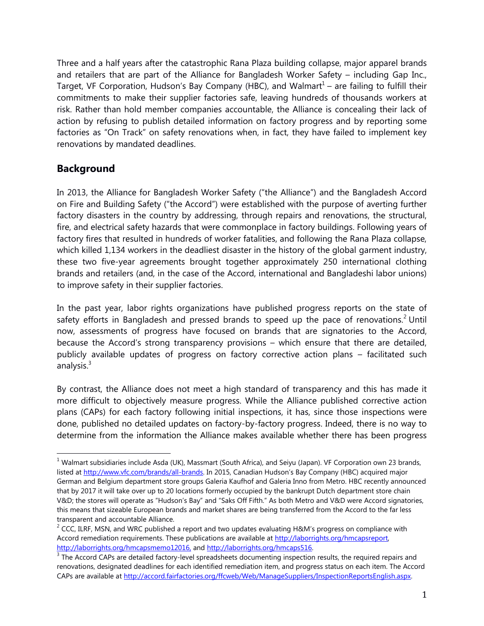Three and a half years after the catastrophic Rana Plaza building collapse, major apparel brands and retailers that are part of the Alliance for Bangladesh Worker Safety – including Gap Inc., Target, VF Corporation, Hudson's Bay Company (HBC), and Walmart<sup>1</sup> – are failing to fulfill their commitments to make their supplier factories safe, leaving hundreds of thousands workers at risk. Rather than hold member companies accountable, the Alliance is concealing their lack of action by refusing to publish detailed information on factory progress and by reporting some factories as "On Track" on safety renovations when, in fact, they have failed to implement key renovations by mandated deadlines.

### **Background**

 $\overline{a}$ 

In 2013, the Alliance for Bangladesh Worker Safety ("the Alliance") and the Bangladesh Accord on Fire and Building Safety ("the Accord") were established with the purpose of averting further factory disasters in the country by addressing, through repairs and renovations, the structural, fire, and electrical safety hazards that were commonplace in factory buildings. Following years of factory fires that resulted in hundreds of worker fatalities, and following the Rana Plaza collapse, which killed 1,134 workers in the deadliest disaster in the history of the global garment industry, these two five-year agreements brought together approximately 250 international clothing brands and retailers (and, in the case of the Accord, international and Bangladeshi labor unions) to improve safety in their supplier factories.

In the past year, labor rights organizations have published progress reports on the state of safety efforts in Bangladesh and pressed brands to speed up the pace of renovations.<sup>2</sup> Until now, assessments of progress have focused on brands that are signatories to the Accord, because the Accord's strong transparency provisions – which ensure that there are detailed, publicly available updates of progress on factory corrective action plans – facilitated such analysis. $3$ 

By contrast, the Alliance does not meet a high standard of transparency and this has made it more difficult to objectively measure progress. While the Alliance published corrective action plans (CAPs) for each factory following initial inspections, it has, since those inspections were done, published no detailed updates on factory-by-factory progress. Indeed, there is no way to determine from the information the Alliance makes available whether there has been progress

 $1$  Walmart subsidiaries include Asda (UK), Massmart (South Africa), and Seiyu (Japan). VF Corporation own 23 brands, listed at<http://www.vfc.com/brands/all-brands>. In 2015, Canadian Hudson's Bay Company (HBC) acquired major German and Belgium department store groups Galeria Kaufhof and Galeria Inno from Metro. HBC recently announced that by 2017 it will take over up to 20 locations formerly occupied by the bankrupt Dutch department store chain V&D; the stores will operate as "Hudson's Bay" and "Saks Off Fifth." As both Metro and V&D were Accord signatories, this means that sizeable European brands and market shares are being transferred from the Accord to the far less transparent and accountable Alliance.

<sup>&</sup>lt;sup>2</sup> CCC, ILRF, MSN, and WRC published a report and two updates evaluating H&M's progress on compliance with Accord remediation requirements. These publications are available at [http://laborrights.org/hmcapsreport,](http://laborrights.org/hmcapsreport)  [http://laborrights.org/hmcapsmemo12016,](http://laborrights.org/hmcapsmemo12016) and http://laborrights.org/hmcaps516.

 $3$  The Accord CAPs are detailed factory-level spreadsheets documenting inspection results, the required repairs and renovations, designated deadlines for each identified remediation item, and progress status on each item. The Accord CAPs are available a[t http://accord.fairfactories.org/ffcweb/Web/ManageSuppliers/InspectionReportsEnglish.aspx.](http://accord.fairfactories.org/ffcweb/Web/ManageSuppliers/InspectionReportsEnglish.aspx)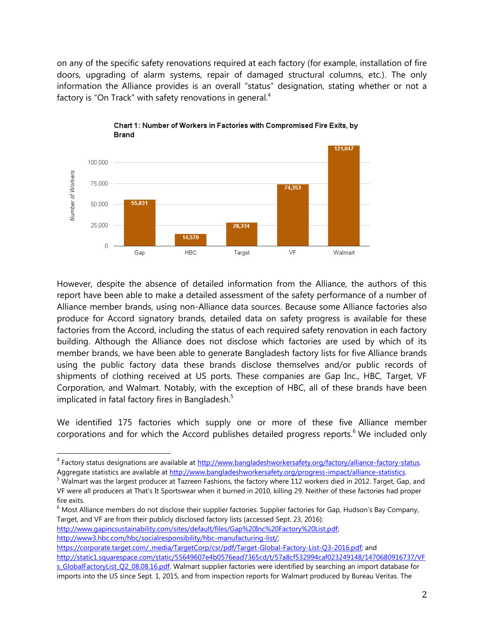on any of the specific safety renovations required at each factory (for example, installation of fire doors, upgrading of alarm systems, repair of damaged structural columns, etc.). The only information the Alliance provides is an overall "status" designation, stating whether or not a factory is "On Track" with safety renovations in general.<sup>4</sup>





However, despite the absence of detailed information from the Alliance, the authors of this report have been able to make a detailed assessment of the safety performance of a number of Alliance member brands, using non-Alliance data sources. Because some Alliance factories also produce for Accord signatory brands, detailed data on safety progress is available for these factories from the Accord, including the status of each required safety renovation in each factory building. Although the Alliance does not disclose which factories are used by which of its member brands, we have been able to generate Bangladesh factory lists for five Alliance brands using the public factory data these brands disclose themselves and/or public records of shipments of clothing received at US ports. These companies are Gap Inc., HBC, Target, VF Corporation, and Walmart. Notably, with the exception of HBC, all of these brands have been implicated in fatal factory fires in Bangladesh.<sup>5</sup>

We identified 175 factories which supply one or more of these five Alliance member corporations and for which the Accord publishes detailed progress reports.<sup>6</sup> We included only

[http://www.gapincsustainability.com/sites/default/files/Gap%20Inc%20Factory%20List.pdf;](http://www.gapincsustainability.com/sites/default/files/Gap%20Inc%20Factory%20List.pdf) 

[http://www3.hbc.com/hbc/socialresponsibility/hbc-manufacturing-list/;](http://www3.hbc.com/hbc/socialresponsibility/hbc-manufacturing-list/) 

 $\overline{a}$ 

[https://corporate.target.com/\\_media/TargetCorp/csr/pdf/Target-Global-Factory-List-Q3-2016.pdf;](https://corporate.target.com/_media/TargetCorp/csr/pdf/Target-Global-Factory-List-Q3-2016.pdf) and [http://static1.squarespace.com/static/55649607e4b0576ead7365cd/t/57a8cf532994caf023249148/1470680916737/VF](http://static1.squarespace.com/static/55649607e4b0576ead7365cd/t/57a8cf532994caf023249148/1470680916737/VFs_GlobalFactoryList_Q2_08.08.16.pdf) [s\\_GlobalFactoryList\\_Q2\\_08.08.16.pdf.](http://static1.squarespace.com/static/55649607e4b0576ead7365cd/t/57a8cf532994caf023249148/1470680916737/VFs_GlobalFactoryList_Q2_08.08.16.pdf) Walmart supplier factories were identified by searching an import database for imports into the US since Sept. 1, 2015, and from inspection reports for Walmart produced by Bureau Veritas. The

<sup>&</sup>lt;sup>4</sup> Factory status designations are available at [http://www.bangladeshworkersafety.org/factory/alliance-factory-status.](http://www.bangladeshworkersafety.org/factory/alliance-factory-status) Aggregate statistics are available at http://www.bangladeshworkersafety.org/progress-impact/alliance-statistics.

<sup>&</sup>lt;sup>5</sup> Walmart was the largest producer at Tazreen Fashions, the factory where 112 workers died in 2012. Target, Gap, and VF were all producers at That's It Sportswear when it burned in 2010, killing 29. Neither of these factories had proper fire exits.

<sup>&</sup>lt;sup>6</sup> Most Alliance members do not disclose their supplier factories. Supplier factories for Gap, Hudson's Bay Company, Target, and VF are from their publicly disclosed factory lists (accessed Sept. 23, 2016):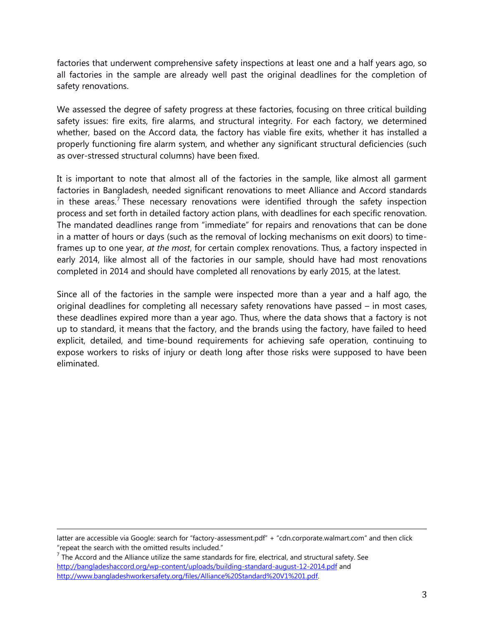factories that underwent comprehensive safety inspections at least one and a half years ago, so all factories in the sample are already well past the original deadlines for the completion of safety renovations.

We assessed the degree of safety progress at these factories, focusing on three critical building safety issues: fire exits, fire alarms, and structural integrity. For each factory, we determined whether, based on the Accord data, the factory has viable fire exits, whether it has installed a properly functioning fire alarm system, and whether any significant structural deficiencies (such as over-stressed structural columns) have been fixed.

It is important to note that almost all of the factories in the sample, like almost all garment factories in Bangladesh, needed significant renovations to meet Alliance and Accord standards in these areas.<sup>7</sup> These necessary renovations were identified through the safety inspection process and set forth in detailed factory action plans, with deadlines for each specific renovation. The mandated deadlines range from "immediate" for repairs and renovations that can be done in a matter of hours or days (such as the removal of locking mechanisms on exit doors) to timeframes up to one year, *at the most*, for certain complex renovations. Thus, a factory inspected in early 2014, like almost all of the factories in our sample, should have had most renovations completed in 2014 and should have completed all renovations by early 2015, at the latest.

Since all of the factories in the sample were inspected more than a year and a half ago, the original deadlines for completing all necessary safety renovations have passed – in most cases, these deadlines expired more than a year ago. Thus, where the data shows that a factory is not up to standard, it means that the factory, and the brands using the factory, have failed to heed explicit, detailed, and time-bound requirements for achieving safe operation, continuing to expose workers to risks of injury or death long after those risks were supposed to have been eliminated.

 $\overline{a}$ 

latter are accessible via Google: search for "factory-assessment.pdf" + "cdn.corporate.walmart.com" and then click "repeat the search with the omitted results included."

 $^7$  The Accord and the Alliance utilize the same standards for fire, electrical, and structural safety. See <http://bangladeshaccord.org/wp-content/uploads/building-standard-august-12-2014.pdf> and [http://www.bangladeshworkersafety.org/files/Alliance%20Standard%20V1%201.pdf.](http://www.bangladeshworkersafety.org/files/Alliance%20Standard%20V1%201.pdf)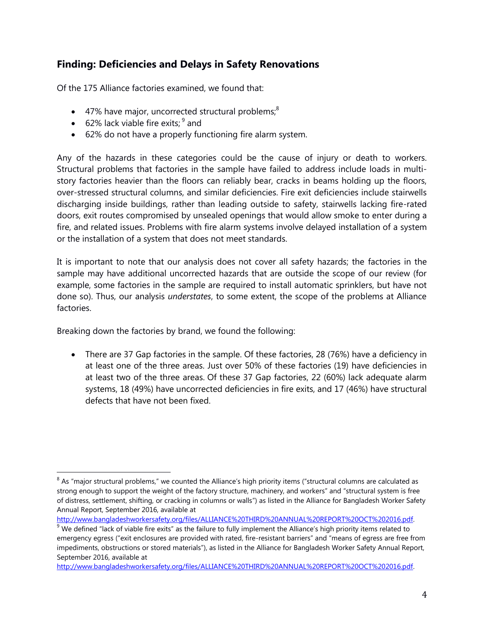## **Finding: Deficiencies and Delays in Safety Renovations**

Of the 175 Alliance factories examined, we found that:

- $\bullet$  47% have major, uncorrected structural problems;<sup>8</sup>
- 62% lack viable fire exits;  $9^9$  and
- 62% do not have a properly functioning fire alarm system.

Any of the hazards in these categories could be the cause of injury or death to workers. Structural problems that factories in the sample have failed to address include loads in multistory factories heavier than the floors can reliably bear, cracks in beams holding up the floors, over-stressed structural columns, and similar deficiencies. Fire exit deficiencies include stairwells discharging inside buildings, rather than leading outside to safety, stairwells lacking fire-rated doors, exit routes compromised by unsealed openings that would allow smoke to enter during a fire, and related issues. Problems with fire alarm systems involve delayed installation of a system or the installation of a system that does not meet standards.

It is important to note that our analysis does not cover all safety hazards; the factories in the sample may have additional uncorrected hazards that are outside the scope of our review (for example, some factories in the sample are required to install automatic sprinklers, but have not done so). Thus, our analysis *understates*, to some extent, the scope of the problems at Alliance factories.

Breaking down the factories by brand, we found the following:

 $\overline{a}$ 

 There are 37 Gap factories in the sample. Of these factories, 28 (76%) have a deficiency in at least one of the three areas. Just over 50% of these factories (19) have deficiencies in at least two of the three areas. Of these 37 Gap factories, 22 (60%) lack adequate alarm systems, 18 (49%) have uncorrected deficiencies in fire exits, and 17 (46%) have structural defects that have not been fixed.

[http://www.bangladeshworkersafety.org/files/ALLIANCE%20THIRD%20ANNUAL%20REPORT%20OCT%202016.pdf.](http://www.bangladeshworkersafety.org/files/ALLIANCE%20THIRD%20ANNUAL%20REPORT%20OCT%202016.pdf) 

 $^8$  As "major structural problems," we counted the Alliance's high priority items ("structural columns are calculated as strong enough to support the weight of the factory structure, machinery, and workers" and "structural system is free of distress, settlement, shifting, or cracking in columns or walls") as listed in the Alliance for Bangladesh Worker Safety Annual Report, September 2016, available at

[http://www.bangladeshworkersafety.org/files/ALLIANCE%20THIRD%20ANNUAL%20REPORT%20OCT%202016.pdf.](http://www.bangladeshworkersafety.org/files/ALLIANCE%20THIRD%20ANNUAL%20REPORT%20OCT%202016.pdf)

 $9$  We defined "lack of viable fire exits" as the failure to fully implement the Alliance's high priority items related to emergency egress ("exit enclosures are provided with rated, fire-resistant barriers" and "means of egress are free from impediments, obstructions or stored materials"), as listed in the Alliance for Bangladesh Worker Safety Annual Report, September 2016, available at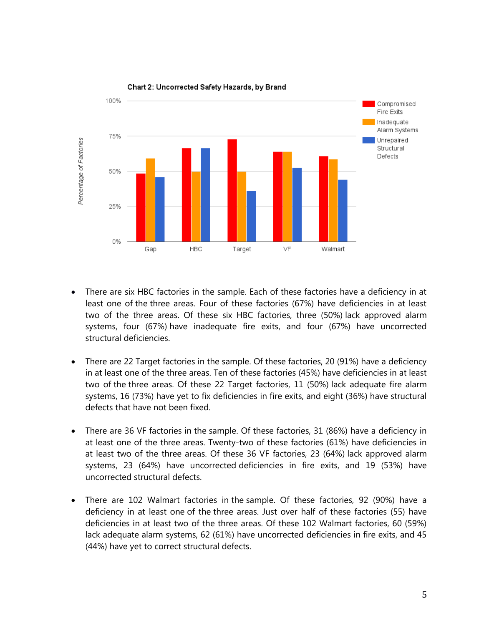

Chart 2: Uncorrected Safety Hazards, by Brand

- There are six HBC factories in the sample. Each of these factories have a deficiency in at least one of the three areas. Four of these factories (67%) have deficiencies in at least two of the three areas. Of these six HBC factories, three (50%) lack approved alarm systems, four (67%) have inadequate fire exits, and four (67%) have uncorrected structural deficiencies.
- There are 22 Target factories in the sample. Of these factories, 20 (91%) have a deficiency in at least one of the three areas. Ten of these factories (45%) have deficiencies in at least two of the three areas. Of these 22 Target factories, 11 (50%) lack adequate fire alarm systems, 16 (73%) have yet to fix deficiencies in fire exits, and eight (36%) have structural defects that have not been fixed.
- There are 36 VF factories in the sample. Of these factories, 31 (86%) have a deficiency in at least one of the three areas. Twenty-two of these factories (61%) have deficiencies in at least two of the three areas. Of these 36 VF factories, 23 (64%) lack approved alarm systems, 23 (64%) have uncorrected deficiencies in fire exits, and 19 (53%) have uncorrected structural defects.
- There are 102 Walmart factories in the sample. Of these factories, 92 (90%) have a deficiency in at least one of the three areas. Just over half of these factories (55) have deficiencies in at least two of the three areas. Of these 102 Walmart factories, 60 (59%) lack adequate alarm systems, 62 (61%) have uncorrected deficiencies in fire exits, and 45 (44%) have yet to correct structural defects.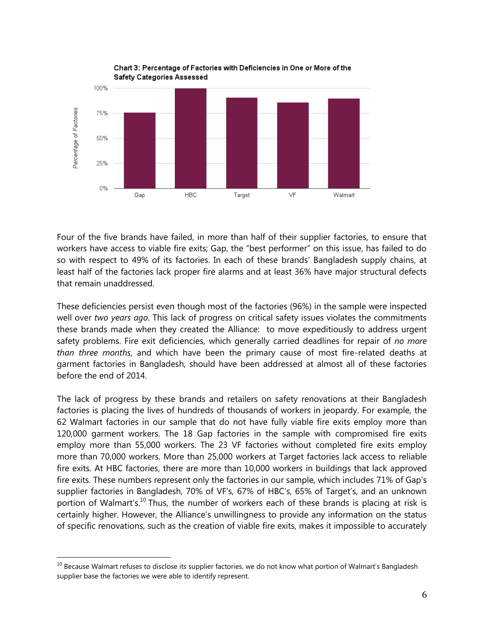

Four of the five brands have failed, in more than half of their supplier factories, to ensure that workers have access to viable fire exits; Gap, the "best performer" on this issue, has failed to do so with respect to 49% of its factories. In each of these brands' Bangladesh supply chains, at least half of the factories lack proper fire alarms and at least 36% have major structural defects that remain unaddressed.

These deficiencies persist even though most of the factories (96%) in the sample were inspected well over *two years ago*. This lack of progress on critical safety issues violates the commitments these brands made when they created the Alliance: to move expeditiously to address urgent safety problems. Fire exit deficiencies, which generally carried deadlines for repair of *no more than three months*, and which have been the primary cause of most fire-related deaths at garment factories in Bangladesh, should have been addressed at almost all of these factories before the end of 2014.

The lack of progress by these brands and retailers on safety renovations at their Bangladesh factories is placing the lives of hundreds of thousands of workers in jeopardy. For example, the 62 Walmart factories in our sample that do not have fully viable fire exits employ more than 120,000 garment workers. The 18 Gap factories in the sample with compromised fire exits employ more than 55,000 workers. The 23 VF factories without completed fire exits employ more than 70,000 workers. More than 25,000 workers at Target factories lack access to reliable fire exits. At HBC factories, there are more than 10,000 workers in buildings that lack approved fire exits. These numbers represent only the factories in our sample, which includes 71% of Gap's supplier factories in Bangladesh, 70% of VF's, 67% of HBC's, 65% of Target's, and an unknown portion of Walmart's.<sup>10</sup> Thus, the number of workers each of these brands is placing at risk is certainly higher. However, the Alliance's unwillingness to provide any information on the status of specific renovations, such as the creation of viable fire exits, makes it impossible to accurately

 $\overline{a}$ 

 $^{10}$  Because Walmart refuses to disclose its supplier factories, we do not know what portion of Walmart's Bangladesh supplier base the factories we were able to identify represent.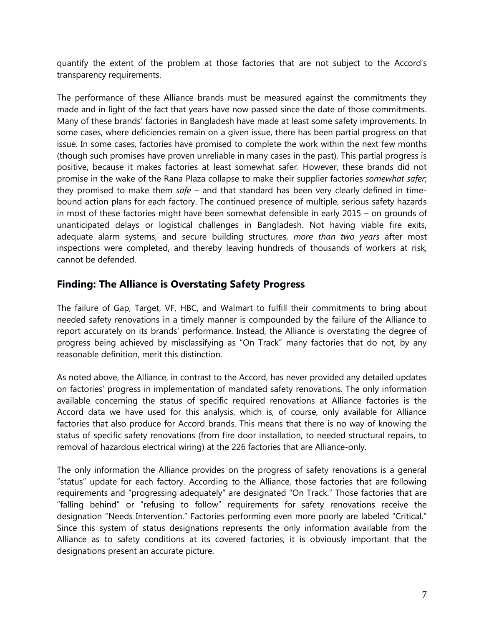quantify the extent of the problem at those factories that are not subject to the Accord's transparency requirements.

The performance of these Alliance brands must be measured against the commitments they made and in light of the fact that years have now passed since the date of those commitments. Many of these brands' factories in Bangladesh have made at least some safety improvements. In some cases, where deficiencies remain on a given issue, there has been partial progress on that issue. In some cases, factories have promised to complete the work within the next few months (though such promises have proven unreliable in many cases in the past). This partial progress is positive, because it makes factories at least somewhat safer. However, these brands did not promise in the wake of the Rana Plaza collapse to make their supplier factories *somewhat safer*; they promised to make them *safe* – and that standard has been very clearly defined in timebound action plans for each factory. The continued presence of multiple, serious safety hazards in most of these factories might have been somewhat defensible in early 2015 – on grounds of unanticipated delays or logistical challenges in Bangladesh. Not having viable fire exits, adequate alarm systems, and secure building structures, *more than two years* after most inspections were completed, and thereby leaving hundreds of thousands of workers at risk, cannot be defended.

#### **Finding: The Alliance is Overstating Safety Progress**

The failure of Gap, Target, VF, HBC, and Walmart to fulfill their commitments to bring about needed safety renovations in a timely manner is compounded by the failure of the Alliance to report accurately on its brands' performance. Instead, the Alliance is overstating the degree of progress being achieved by misclassifying as "On Track" many factories that do not, by any reasonable definition, merit this distinction.

As noted above, the Alliance, in contrast to the Accord, has never provided any detailed updates on factories' progress in implementation of mandated safety renovations. The only information available concerning the status of specific required renovations at Alliance factories is the Accord data we have used for this analysis, which is, of course, only available for Alliance factories that also produce for Accord brands. This means that there is no way of knowing the status of specific safety renovations (from fire door installation, to needed structural repairs, to removal of hazardous electrical wiring) at the 226 factories that are Alliance-only.

The only information the Alliance provides on the progress of safety renovations is a general "status" update for each factory. According to the Alliance, those factories that are following requirements and "progressing adequately" are designated "On Track." Those factories that are "falling behind" or "refusing to follow" requirements for safety renovations receive the designation "Needs Intervention." Factories performing even more poorly are labeled "Critical." Since this system of status designations represents the only information available from the Alliance as to safety conditions at its covered factories, it is obviously important that the designations present an accurate picture.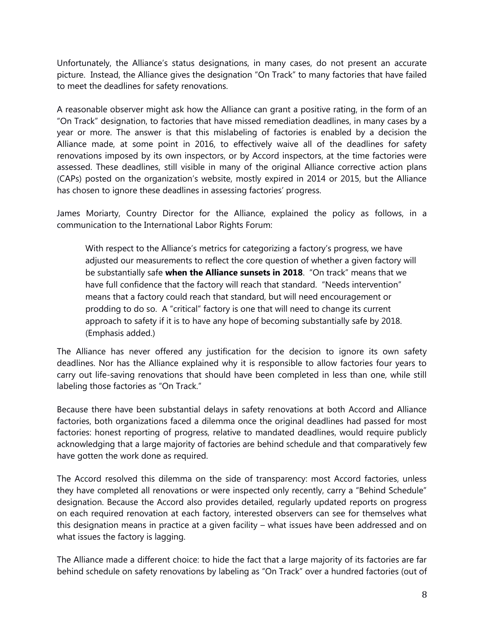Unfortunately, the Alliance's status designations, in many cases, do not present an accurate picture. Instead, the Alliance gives the designation "On Track" to many factories that have failed to meet the deadlines for safety renovations.

A reasonable observer might ask how the Alliance can grant a positive rating, in the form of an "On Track" designation, to factories that have missed remediation deadlines, in many cases by a year or more. The answer is that this mislabeling of factories is enabled by a decision the Alliance made, at some point in 2016, to effectively waive all of the deadlines for safety renovations imposed by its own inspectors, or by Accord inspectors, at the time factories were assessed. These deadlines, still visible in many of the original Alliance corrective action plans (CAPs) posted on the organization's website, mostly expired in 2014 or 2015, but the Alliance has chosen to ignore these deadlines in assessing factories' progress.

James Moriarty, Country Director for the Alliance, explained the policy as follows, in a communication to the International Labor Rights Forum:

With respect to the Alliance's metrics for categorizing a factory's progress, we have adjusted our measurements to reflect the core question of whether a given factory will be substantially safe **when the Alliance sunsets in 2018**. "On track" means that we have full confidence that the factory will reach that standard. "Needs intervention" means that a factory could reach that standard, but will need encouragement or prodding to do so. A "critical" factory is one that will need to change its current approach to safety if it is to have any hope of becoming substantially safe by 2018. (Emphasis added.)

The Alliance has never offered any justification for the decision to ignore its own safety deadlines. Nor has the Alliance explained why it is responsible to allow factories four years to carry out life-saving renovations that should have been completed in less than one, while still labeling those factories as "On Track."

Because there have been substantial delays in safety renovations at both Accord and Alliance factories, both organizations faced a dilemma once the original deadlines had passed for most factories: honest reporting of progress, relative to mandated deadlines, would require publicly acknowledging that a large majority of factories are behind schedule and that comparatively few have gotten the work done as required.

The Accord resolved this dilemma on the side of transparency: most Accord factories, unless they have completed all renovations or were inspected only recently, carry a "Behind Schedule" designation. Because the Accord also provides detailed, regularly updated reports on progress on each required renovation at each factory, interested observers can see for themselves what this designation means in practice at a given facility – what issues have been addressed and on what issues the factory is lagging.

The Alliance made a different choice: to hide the fact that a large majority of its factories are far behind schedule on safety renovations by labeling as "On Track" over a hundred factories (out of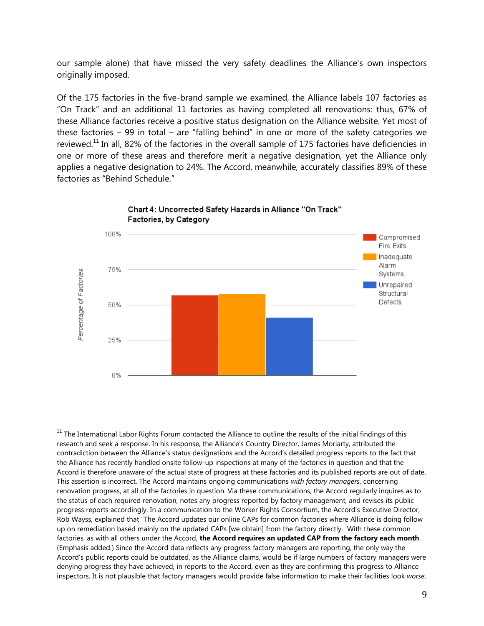our sample alone) that have missed the very safety deadlines the Alliance's own inspectors originally imposed.

Of the 175 factories in the five-brand sample we examined, the Alliance labels 107 factories as "On Track" and an additional 11 factories as having completed all renovations: thus, 67% of these Alliance factories receive a positive status designation on the Alliance website. Yet most of these factories – 99 in total – are "falling behind" in one or more of the safety categories we reviewed.<sup>11</sup> In all, 82% of the factories in the overall sample of 175 factories have deficiencies in one or more of these areas and therefore merit a negative designation, yet the Alliance only applies a negative designation to 24%. The Accord, meanwhile, accurately classifies 89% of these factories as "Behind Schedule."



Chart 4: Uncorrected Safety Hazards in Alliance "On Track" Factories, by Category

l <sup>11</sup> The International Labor Rights Forum contacted the Alliance to outline the results of the initial findings of this research and seek a response. In his response, the Alliance's Country Director, James Moriarty, attributed the contradiction between the Alliance's status designations and the Accord's detailed progress reports to the fact that the Alliance has recently handled onsite follow-up inspections at many of the factories in question and that the Accord is therefore unaware of the actual state of progress at these factories and its published reports are out of date. This assertion is incorrect. The Accord maintains ongoing communications *with factory managers*, concerning renovation progress, at all of the factories in question. Via these communications, the Accord regularly inquires as to the status of each required renovation, notes any progress reported by factory management, and revises its public progress reports accordingly. In a communication to the Worker Rights Consortium, the Accord's Executive Director, Rob Wayss, explained that "The Accord updates our online CAPs for common factories where Alliance is doing follow up on remediation based mainly on the updated CAPs [we obtain] from the factory directly. With these common factories, as with all others under the Accord, **the Accord requires an updated CAP from the factory each month**. (Emphasis added.) Since the Accord data reflects any progress factory managers are reporting, the only way the Accord's public reports could be outdated, as the Alliance claims, would be if large numbers of factory managers were denying progress they have achieved, in reports to the Accord, even as they are confirming this progress to Alliance inspectors. It is not plausible that factory managers would provide false information to make their facilities look *worse*.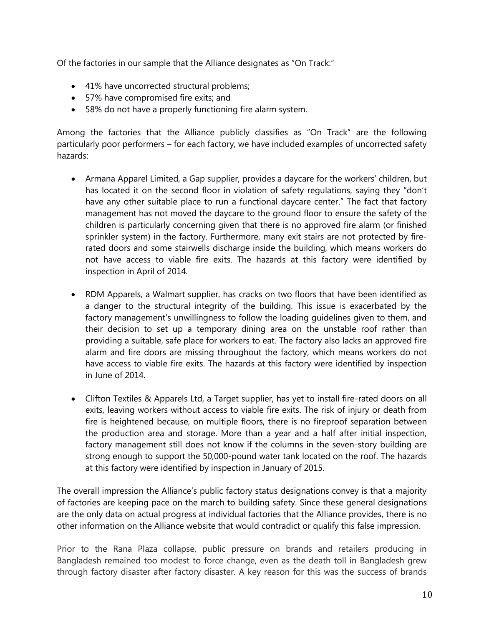Of the factories in our sample that the Alliance designates as "On Track:"

- 41% have uncorrected structural problems;
- 57% have compromised fire exits; and
- 58% do not have a properly functioning fire alarm system.

Among the factories that the Alliance publicly classifies as "On Track" are the following particularly poor performers – for each factory, we have included examples of uncorrected safety hazards:

- Armana Apparel Limited, a Gap supplier, provides a daycare for the workers' children, but has located it on the second floor in violation of safety regulations, saying they "don't have any other suitable place to run a functional daycare center." The fact that factory management has not moved the daycare to the ground floor to ensure the safety of the children is particularly concerning given that there is no approved fire alarm (or finished sprinkler system) in the factory. Furthermore, many exit stairs are not protected by firerated doors and some stairwells discharge inside the building, which means workers do not have access to viable fire exits. The hazards at this factory were identified by inspection in April of 2014.
- RDM Apparels, a Walmart supplier, has cracks on two floors that have been identified as a danger to the structural integrity of the building. This issue is exacerbated by the factory management's unwillingness to follow the loading guidelines given to them, and their decision to set up a temporary dining area on the unstable roof rather than providing a suitable, safe place for workers to eat. The factory also lacks an approved fire alarm and fire doors are missing throughout the factory, which means workers do not have access to viable fire exits. The hazards at this factory were identified by inspection in June of 2014.
- Clifton Textiles & Apparels Ltd, a Target supplier, has yet to install fire-rated doors on all exits, leaving workers without access to viable fire exits. The risk of injury or death from fire is heightened because, on multiple floors, there is no fireproof separation between the production area and storage. More than a year and a half after initial inspection, factory management still does not know if the columns in the seven-story building are strong enough to support the 50,000-pound water tank located on the roof. The hazards at this factory were identified by inspection in January of 2015.

The overall impression the Alliance's public factory status designations convey is that a majority of factories are keeping pace on the march to building safety. Since these general designations are the only data on actual progress at individual factories that the Alliance provides, there is no other information on the Alliance website that would contradict or qualify this false impression.

Prior to the Rana Plaza collapse, public pressure on brands and retailers producing in Bangladesh remained too modest to force change, even as the death toll in Bangladesh grew through factory disaster after factory disaster. A key reason for this was the success of brands